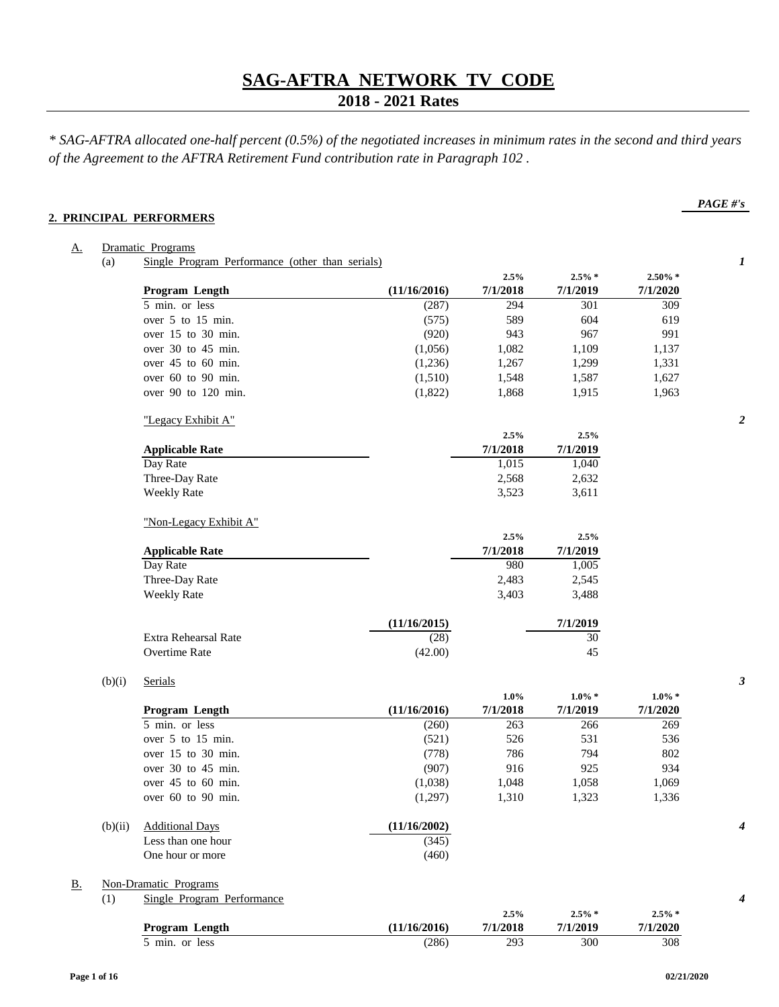## **2018 - 2021 Rates**

*\* SAG-AFTRA allocated one-half percent (0.5%) of the negotiated increases in minimum rates in the second and third years of the Agreement to the AFTRA Retirement Fund contribution rate in Paragraph 102 .*

#### **2. PRINCIPAL PERFORMERS**

## A. Dramatic Programs (a) Single Program Performance (other than serials) *1* **2.5% 2.5% \* 2.50% \* Program Length (11/16/2016) 7/1/2018 7/1/2019 7/1/2020** 5 min. or less (287) 294 301 309 over 5 to 15 min. (575) 589 604 619 over 15 to 30 min. (920) 943 967 991 over 30 to 45 min. (1,056) 1,082 1,109 1,137 over 45 to 60 min. (1,236) 1,267 1,299 1,331 over 60 to 90 min. (1,510) 1,548 1,587 1,627 over 90 to 120 min. (1,822) 1,868 1,915 1,963 "Legacy Exhibit A" *2* **2.5% 2.5% Applicable Rate 7/1/2018 7/1/2019** Day Rate 1,015 1,040 Three-Day Rate 2,568 2,632 Weekly Rate  $3,523$   $3,611$ "Non-Legacy Exhibit A" **2.5% 2.5% Applicable Rate 7/1/2018 7/1/2019** Day Rate 2012 2013 2020 1,005 Three-Day Rate 2,483 2,545 Weekly Rate 3,403 3,488 **(11/16/2015) 7/1/2019** Extra Rehearsal Rate (28) 30 Overtime Rate (42.00) 45 (b)(i) Serials *3* **1.0% 1.0% \* 1.0% \* Program Length (11/16/2016) 7/1/2018 7/1/2019 7/1/2020** 5 min. or less (260) 263 266 269 over 5 to 15 min. (521) 526 531 536 over 15 to 30 min. (778) 786 794 802 over 30 to 45 min. (907) 916 925 934 over 45 to 60 min. (1,038) 1,048 1,058 1,069 over 60 to 90 min. (1,297) 1,310 1,323 1,336 (b)(ii) Additional Days **(11/16/2002)** *4* Less than one hour  $(345)$ One hour or more (460) B. Non-Dramatic Programs

|--|--|

|                |              | 2.5%     | $2.5\% *$ | $2.5\% *$ |
|----------------|--------------|----------|-----------|-----------|
| Program Length | (11/16/2016) | 7/1/2018 | 7/1/2019  | 7/1/2020  |
| 5 min. or less | (286)        | 293      | 300       | 308       |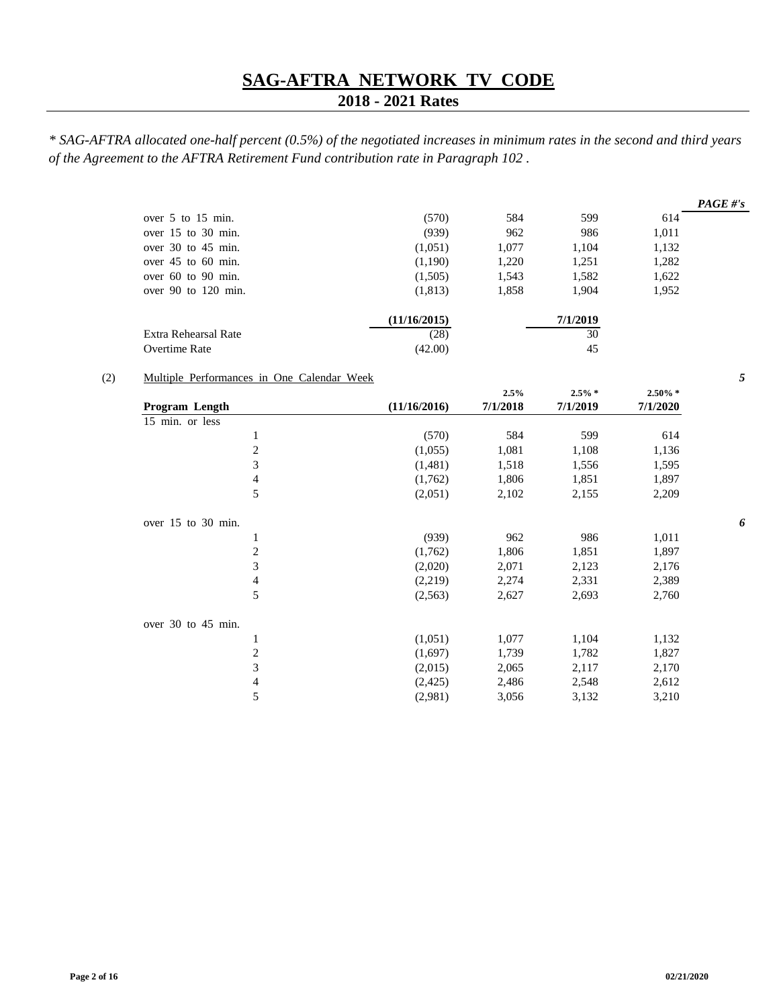# **2018 - 2021 Rates**

*\* SAG-AFTRA allocated one-half percent (0.5%) of the negotiated increases in minimum rates in the second and third years of the Agreement to the AFTRA Retirement Fund contribution rate in Paragraph 102 .*

|                         |              |       |          |       | PAGE #'s |
|-------------------------|--------------|-------|----------|-------|----------|
| over 5 to 15 min.       | (570)        | 584   | 599      | 614   |          |
| over 15 to 30 min.      | (939)        | 962   | 986      | 1,011 |          |
| over $30$ to $45$ min.  | (1,051)      | 1.077 | 1,104    | 1,132 |          |
| over $45$ to $60$ min.  | (1,190)      | 1,220 | 1,251    | 1,282 |          |
| over $60$ to $90$ min.  | (1,505)      | 1,543 | 1,582    | 1,622 |          |
| over $90$ to $120$ min. | (1,813)      | 1,858 | 1.904    | 1,952 |          |
|                         | (11/16/2015) |       | 7/1/2019 |       |          |
| Extra Rehearsal Rate    | (28)         |       | 30       |       |          |
| Overtime Rate           | (42.00)      |       | 45       |       |          |

## (2) Multiple Performances in One Calendar Week *5*

|                    |                |              | 2.5%     | $2.5\% *$ | $2.50\% *$ |
|--------------------|----------------|--------------|----------|-----------|------------|
| Program Length     |                | (11/16/2016) | 7/1/2018 | 7/1/2019  | 7/1/2020   |
| 15 min. or less    |                |              |          |           |            |
|                    | $\mathbf{1}$   | (570)        | 584      | 599       | 614        |
|                    | $\overline{c}$ | (1,055)      | 1,081    | 1,108     | 1,136      |
|                    | $\mathfrak{Z}$ | (1,481)      | 1,518    | 1,556     | 1,595      |
|                    | $\overline{4}$ | (1,762)      | 1,806    | 1,851     | 1,897      |
|                    | 5              | (2,051)      | 2,102    | 2,155     | 2,209      |
| over 15 to 30 min. |                |              |          |           |            |
|                    | $\mathbf{1}$   | (939)        | 962      | 986       | 1,011      |
|                    | 2              | (1,762)      | 1,806    | 1,851     | 1,897      |
|                    | 3              | (2,020)      | 2,071    | 2,123     | 2,176      |
|                    | $\overline{4}$ | (2,219)      | 2,274    | 2,331     | 2,389      |
|                    | 5              | (2,563)      | 2,627    | 2,693     | 2,760      |
| over 30 to 45 min. |                |              |          |           |            |
|                    | $\mathbf{1}$   | (1,051)      | 1,077    | 1,104     | 1,132      |
|                    | $\overline{c}$ | (1,697)      | 1,739    | 1,782     | 1,827      |
|                    | 3              | (2,015)      | 2,065    | 2,117     | 2,170      |
|                    | $\overline{4}$ | (2, 425)     | 2,486    | 2,548     | 2,612      |
|                    | 5              | (2,981)      | 3,056    | 3,132     | 3,210      |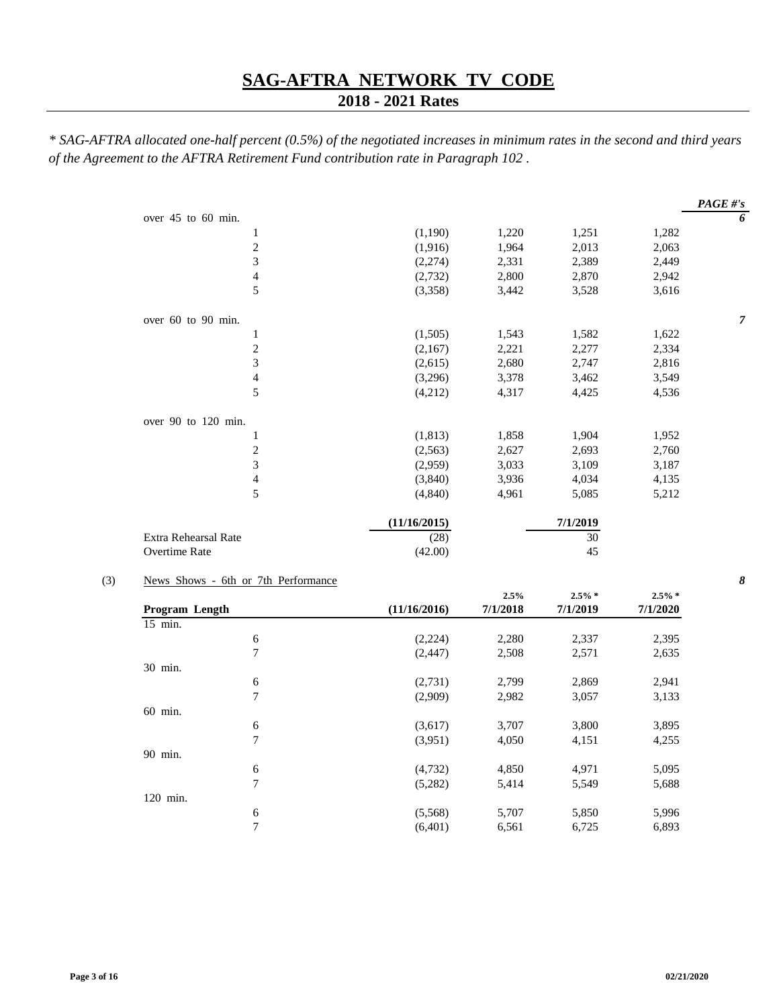## **2018 - 2021 Rates**

*\* SAG-AFTRA allocated one-half percent (0.5%) of the negotiated increases in minimum rates in the second and third years of the Agreement to the AFTRA Retirement Fund contribution rate in Paragraph 102 .*

|                      |              |       |          |       | PAGE #'s       |
|----------------------|--------------|-------|----------|-------|----------------|
| over 45 to 60 min.   |              |       |          |       | 6              |
| 1                    | (1,190)      | 1,220 | 1,251    | 1,282 |                |
| $\overline{c}$       | (1,916)      | 1,964 | 2,013    | 2,063 |                |
| 3                    | (2,274)      | 2,331 | 2,389    | 2,449 |                |
| 4                    | (2,732)      | 2,800 | 2,870    | 2,942 |                |
| 5                    | (3,358)      | 3,442 | 3,528    | 3,616 |                |
| over 60 to 90 min.   |              |       |          |       | $\overline{7}$ |
| 1                    | (1,505)      | 1,543 | 1,582    | 1,622 |                |
| $\overline{c}$       | (2,167)      | 2,221 | 2,277    | 2,334 |                |
| 3                    | (2,615)      | 2,680 | 2,747    | 2,816 |                |
| $\overline{4}$       | (3,296)      | 3,378 | 3,462    | 3,549 |                |
| 5                    | (4,212)      | 4,317 | 4,425    | 4,536 |                |
| over 90 to 120 min.  |              |       |          |       |                |
| 1                    | (1, 813)     | 1,858 | 1,904    | 1,952 |                |
| $\overline{c}$       | (2, 563)     | 2,627 | 2,693    | 2,760 |                |
| 3                    | (2,959)      | 3,033 | 3,109    | 3,187 |                |
| $\overline{4}$       | (3,840)      | 3,936 | 4,034    | 4,135 |                |
| 5                    | (4, 840)     | 4,961 | 5,085    | 5,212 |                |
|                      | (11/16/2015) |       | 7/1/2019 |       |                |
| Extra Rehearsal Rate | (28)         |       | 30       |       |                |
| <b>Overtime Rate</b> | (42.00)      |       | 45       |       |                |

## (3) News Shows - 6th or 7th Performance *8*

|                       |   |              | 2.5%     | $2.5\% *$ | $2.5\% *$ |
|-----------------------|---|--------------|----------|-----------|-----------|
| <b>Program Length</b> |   | (11/16/2016) | 7/1/2018 | 7/1/2019  | 7/1/2020  |
| 15 min.               |   |              |          |           |           |
|                       | 6 | (2,224)      | 2,280    | 2,337     | 2,395     |
|                       | 7 | (2, 447)     | 2,508    | 2,571     | 2,635     |
| 30 min.               |   |              |          |           |           |
|                       | 6 | (2,731)      | 2,799    | 2,869     | 2,941     |
|                       | 7 | (2,909)      | 2,982    | 3,057     | 3,133     |
| 60 min.               |   |              |          |           |           |
|                       | 6 | (3,617)      | 3,707    | 3,800     | 3,895     |
|                       | 7 | (3,951)      | 4,050    | 4,151     | 4,255     |
| 90 min.               |   |              |          |           |           |
|                       | 6 | (4,732)      | 4,850    | 4,971     | 5,095     |
|                       | 7 | (5,282)      | 5,414    | 5,549     | 5,688     |
| 120 min.              |   |              |          |           |           |
|                       | 6 | (5,568)      | 5,707    | 5,850     | 5,996     |
|                       | 7 | (6,401)      | 6,561    | 6,725     | 6,893     |
|                       |   |              |          |           |           |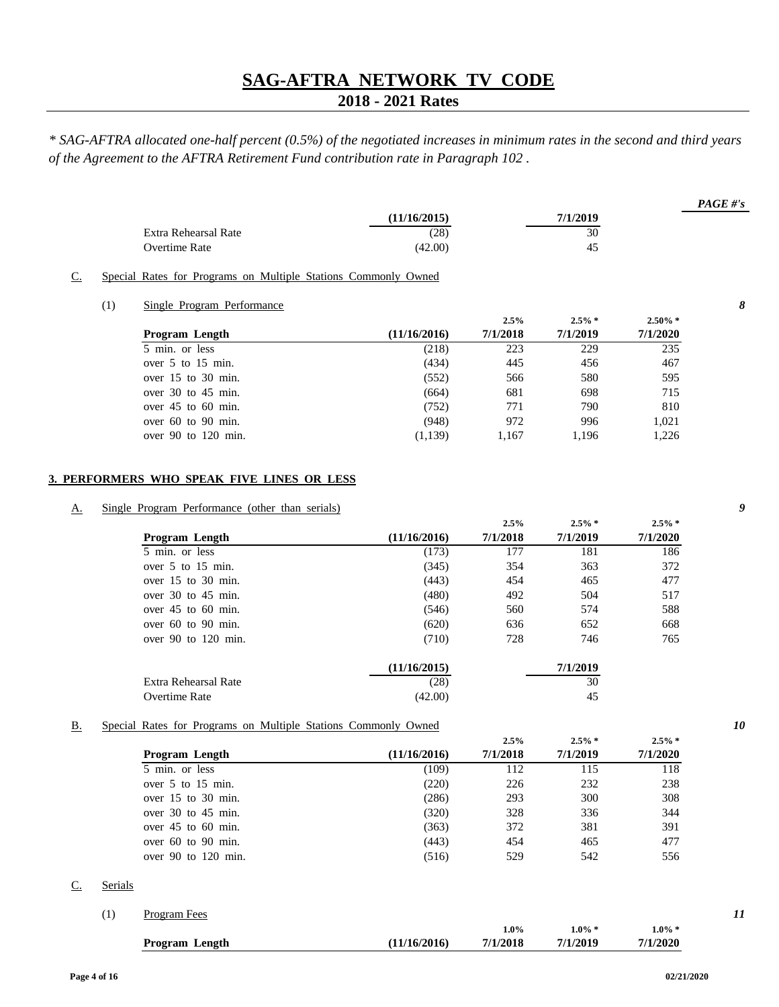## **2018 - 2021 Rates**

*\* SAG-AFTRA allocated one-half percent (0.5%) of the negotiated increases in minimum rates in the second and third years of the Agreement to the AFTRA Retirement Fund contribution rate in Paragraph 102 .*

|                      |              |          | $PAGE \# 's$ |
|----------------------|--------------|----------|--------------|
|                      | (11/16/2015) | 7/1/2019 |              |
| Extra Rehearsal Rate | (28)         | 30       |              |
| Overtime Rate        | (42.00)      | 45       |              |

#### C. Special Rates for Programs on Multiple Stations Commonly Owned

#### (1) Single Program Performance *8*

|                         |              | 2.5%     | $2.5\% *$ | $2.50\%$ * |
|-------------------------|--------------|----------|-----------|------------|
| <b>Program</b> Length   | (11/16/2016) | 7/1/2018 | 7/1/2019  | 7/1/2020   |
| 5 min. or less          | (218)        | 223      | 229       | 235        |
| over $5$ to $15$ min.   | (434)        | 445      | 456       | 467        |
| over 15 to 30 min.      | (552)        | 566      | 580       | 595        |
| over $30$ to $45$ min.  | (664)        | 681      | 698       | 715        |
| over $45$ to $60$ min.  | (752)        | 771      | 790       | 810        |
| over $60$ to $90$ min.  | (948)        | 972      | 996       | 1.021      |
| over $90$ to $120$ min. | (1,139)      | 1.167    | 1,196     | 1,226      |

#### **3. PERFORMERS WHO SPEAK FIVE LINES OR LESS**

## A. Single Program Performance (other than serials) *9*

|                         |              | 2.5%     | $2.5\% *$ | $2.5\%$ * |
|-------------------------|--------------|----------|-----------|-----------|
| Program Length          | (11/16/2016) | 7/1/2018 | 7/1/2019  | 7/1/2020  |
| 5 min. or less          | (173)        | 177      | 181       | 186       |
| over 5 to 15 min.       | (345)        | 354      | 363       | 372       |
| over $15$ to $30$ min.  | (443)        | 454      | 465       | 477       |
| over $30$ to $45$ min.  | (480)        | 492      | 504       | 517       |
| over $45$ to $60$ min.  | (546)        | 560      | 574       | 588       |
| over $60$ to $90$ min.  | (620)        | 636      | 652       | 668       |
| over $90$ to $120$ min. | (710)        | 728      | 746       | 765       |
|                         | (11/16/2015) |          | 7/1/2019  |           |
| Extra Rehearsal Rate    | (28)         |          | 30        |           |
| Overtime Rate           | (42.00)      |          | 45        |           |

#### B. Special Rates for Programs on Multiple Stations Commonly Owned *10*

|                         |              | 2.5%     | $2.5\% *$ | $2.5\%$ * |  |
|-------------------------|--------------|----------|-----------|-----------|--|
| Program Length          | (11/16/2016) | 7/1/2018 | 7/1/2019  | 7/1/2020  |  |
| 5 min. or less          | (109)        | 112      | 115       | 118       |  |
| over $5$ to $15$ min.   | (220)        | 226      | 232       | 238       |  |
| over $15$ to $30$ min.  | (286)        | 293      | 300       | 308       |  |
| over $30$ to $45$ min.  | (320)        | 328      | 336       | 344       |  |
| over $45$ to $60$ min.  | (363)        | 372      | 381       | 391       |  |
| over $60$ to $90$ min.  | (443)        | 454      | 465       | 477       |  |
| over $90$ to $120$ min. | (516)        | 529      | 542       | 556       |  |
|                         |              |          |           |           |  |

#### C. Serials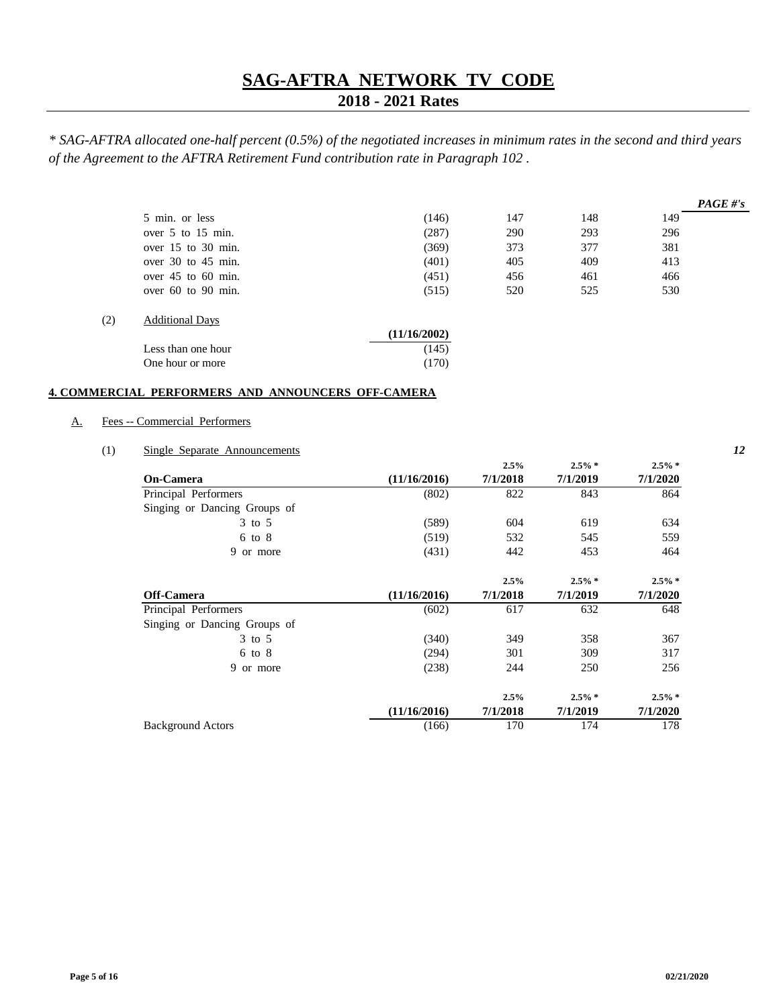## **2018 - 2021 Rates**

*\* SAG-AFTRA allocated one-half percent (0.5%) of the negotiated increases in minimum rates in the second and third years of the Agreement to the AFTRA Retirement Fund contribution rate in Paragraph 102 .*

|     |                        |              |     |     |     | PAGE #'s |
|-----|------------------------|--------------|-----|-----|-----|----------|
|     | 5 min. or less         | (146)        | 147 | 148 | 149 |          |
|     | over 5 to 15 min.      | (287)        | 290 | 293 | 296 |          |
|     | over $15$ to $30$ min. | (369)        | 373 | 377 | 381 |          |
|     | over $30$ to $45$ min. | (401)        | 405 | 409 | 413 |          |
|     | over $45$ to $60$ min. | (451)        | 456 | 461 | 466 |          |
|     | over $60$ to $90$ min. | (515)        | 520 | 525 | 530 |          |
| (2) | <b>Additional Days</b> |              |     |     |     |          |
|     |                        | (11/16/2002) |     |     |     |          |
|     | Less than one hour     | (145)        |     |     |     |          |

#### **4. COMMERCIAL PERFORMERS AND ANNOUNCERS OFF-CAMERA**

One hour or more (170)

#### A. Fees -- Commercial Performers

#### (1) Single Separate Announcements *12*

|                              |              | 2.5%     | $2.5\% *$ | $2.5\% *$ |
|------------------------------|--------------|----------|-----------|-----------|
| On-Camera                    | (11/16/2016) | 7/1/2018 | 7/1/2019  | 7/1/2020  |
| Principal Performers         | (802)        | 822      | 843       | 864       |
| Singing or Dancing Groups of |              |          |           |           |
| 3 to 5                       | (589)        | 604      | 619       | 634       |
| $6 \text{ to } 8$            | (519)        | 532      | 545       | 559       |
| 9 or more                    | (431)        | 442      | 453       | 464       |
|                              |              | 2.5%     | $2.5\% *$ | $2.5\% *$ |
| Off-Camera                   | (11/16/2016) | 7/1/2018 | 7/1/2019  | 7/1/2020  |
| Principal Performers         | (602)        | 617      | 632       | 648       |
| Singing or Dancing Groups of |              |          |           |           |
| $3$ to $5$                   | (340)        | 349      | 358       | 367       |
| $6 \text{ to } 8$            | (294)        | 301      | 309       | 317       |
| 9 or more                    | (238)        | 244      | 250       | 256       |
|                              |              | 2.5%     | $2.5\% *$ | $2.5\% *$ |
|                              | (11/16/2016) | 7/1/2018 | 7/1/2019  | 7/1/2020  |
| <b>Background Actors</b>     | (166)        | 170      | 174       | 178       |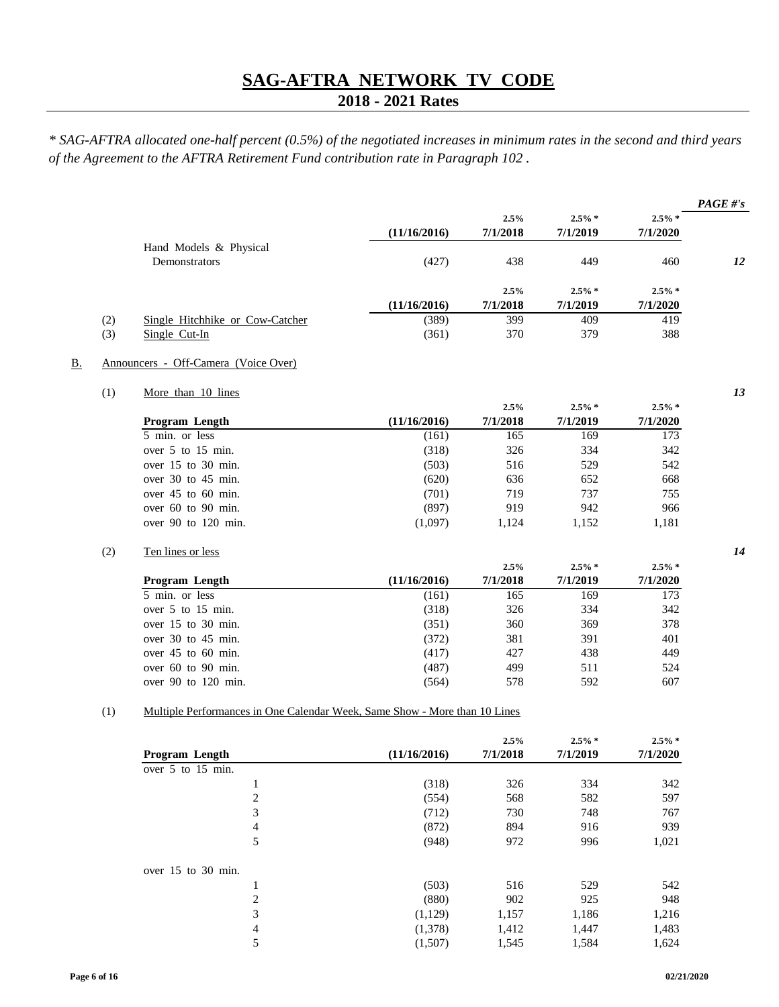## **2018 - 2021 Rates**

*\* SAG-AFTRA allocated one-half percent (0.5%) of the negotiated increases in minimum rates in the second and third years of the Agreement to the AFTRA Retirement Fund contribution rate in Paragraph 102 .*

|     |                                 |              |          |           |           | PAGE #'s |
|-----|---------------------------------|--------------|----------|-----------|-----------|----------|
|     |                                 |              | 2.5%     | $2.5\% *$ | $2.5\% *$ |          |
|     |                                 | (11/16/2016) | 7/1/2018 | 7/1/2019  | 7/1/2020  |          |
|     | Hand Models & Physical          |              |          |           |           |          |
|     | Demonstrators                   | (427)        | 438      | 449       | 460       | 12       |
|     |                                 |              |          |           |           |          |
|     |                                 |              | 2.5%     | $2.5\% *$ | $2.5\%$ * |          |
|     |                                 | (11/16/2016) | 7/1/2018 | 7/1/2019  | 7/1/2020  |          |
| (2) | Single Hitchhike or Cow-Catcher | (389)        | 399      | 409       | 419       |          |
| (3) | Single Cut-In                   | (361)        | 370      | 379       | 388       |          |
|     |                                 |              |          |           |           |          |

#### B. Announcers - Off-Camera (Voice Over)

## (1) More than 10 lines *13*

|                         |              | 2.5%     | $2.5\%$ * | $2.5\% *$ |
|-------------------------|--------------|----------|-----------|-----------|
| Program Length          | (11/16/2016) | 7/1/2018 | 7/1/2019  | 7/1/2020  |
| 5 min. or less          | (161)        | 165      | 169       | 173       |
| over $5$ to $15$ min.   | (318)        | 326      | 334       | 342       |
| over $15$ to $30$ min.  | (503)        | 516      | 529       | 542       |
| over 30 to 45 min.      | (620)        | 636      | 652       | 668       |
| over $45$ to $60$ min.  | (701)        | 719      | 737       | 755       |
| over $60$ to $90$ min.  | (897)        | 919      | 942       | 966       |
| over $90$ to $120$ min. | (1,097)      | 1,124    | 1,152     | 1,181     |

#### (2) Ten lines or less *14*

|                         |              | 2.5%     | $2.5\% *$ | $2.5\% *$ |
|-------------------------|--------------|----------|-----------|-----------|
| Program Length          | (11/16/2016) | 7/1/2018 | 7/1/2019  | 7/1/2020  |
| 5 min. or less          | (161)        | 165      | 169       | 173       |
| over 5 to 15 min.       | (318)        | 326      | 334       | 342       |
| over 15 to 30 min.      | (351)        | 360      | 369       | 378       |
| over $30$ to $45$ min.  | (372)        | 381      | 391       | 401       |
| over $45$ to $60$ min.  | (417)        | 427      | 438       | 449       |
| over $60$ to $90$ min.  | (487)        | 499      | 511       | 524       |
| over $90$ to $120$ min. | (564)        | 578      | 592       | 607       |

#### (1) Multiple Performances in One Calendar Week, Same Show - More than 10 Lines

|                       |              | 2.5%     | $2.5\% *$ | $2.5\% *$ |
|-----------------------|--------------|----------|-----------|-----------|
| <b>Program Length</b> | (11/16/2016) | 7/1/2018 | 7/1/2019  | 7/1/2020  |
| over 5 to 15 min.     |              |          |           |           |
| 1                     | (318)        | 326      | 334       | 342       |
| 2                     | (554)        | 568      | 582       | 597       |
| 3                     | (712)        | 730      | 748       | 767       |
| 4                     | (872)        | 894      | 916       | 939       |
| 5                     | (948)        | 972      | 996       | 1,021     |
| over 15 to 30 min.    |              |          |           |           |
| 1                     | (503)        | 516      | 529       | 542       |
| $\overline{c}$        | (880)        | 902      | 925       | 948       |
| 3                     | (1,129)      | 1,157    | 1,186     | 1,216     |
| 4                     | (1,378)      | 1,412    | 1,447     | 1,483     |
| 5                     | (1,507)      | 1,545    | 1,584     | 1,624     |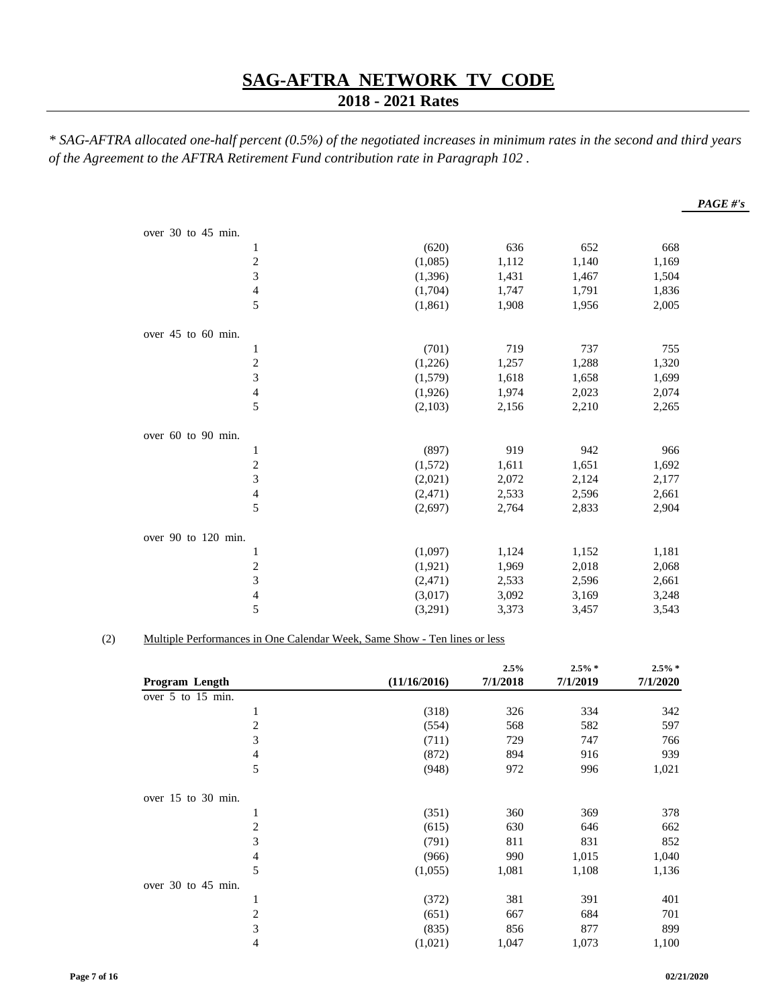## **2018 - 2021 Rates**

*\* SAG-AFTRA allocated one-half percent (0.5%) of the negotiated increases in minimum rates in the second and third years of the Agreement to the AFTRA Retirement Fund contribution rate in Paragraph 102 .*

|                          |          |       |       |       | PAGE #'s |
|--------------------------|----------|-------|-------|-------|----------|
|                          |          |       |       |       |          |
| over 30 to 45 min.       |          |       |       |       |          |
| 1                        | (620)    | 636   | 652   | 668   |          |
| $\overline{c}$           | (1,085)  | 1,112 | 1,140 | 1,169 |          |
| 3                        | (1,396)  | 1,431 | 1,467 | 1,504 |          |
| $\overline{\mathcal{A}}$ | (1,704)  | 1,747 | 1,791 | 1,836 |          |
| 5                        | (1, 861) | 1,908 | 1,956 | 2,005 |          |
| over 45 to 60 min.       |          |       |       |       |          |
| $\mathbf{1}$             | (701)    | 719   | 737   | 755   |          |
| $\overline{\mathbf{c}}$  | (1,226)  | 1,257 | 1,288 | 1,320 |          |
| $\overline{3}$           | (1,579)  | 1,618 | 1,658 | 1,699 |          |
| $\overline{\mathcal{L}}$ | (1,926)  | 1,974 | 2,023 | 2,074 |          |
| 5                        | (2,103)  | 2,156 | 2,210 | 2,265 |          |
| over 60 to 90 min.       |          |       |       |       |          |
| $\mathbf{1}$             | (897)    | 919   | 942   | 966   |          |
| $\sqrt{2}$               | (1,572)  | 1,611 | 1,651 | 1,692 |          |
| 3                        | (2,021)  | 2,072 | 2,124 | 2,177 |          |
| $\overline{\mathcal{L}}$ | (2, 471) | 2,533 | 2,596 | 2,661 |          |
| 5                        | (2,697)  | 2,764 | 2,833 | 2,904 |          |
| over 90 to 120 min.      |          |       |       |       |          |
| $\mathbf{1}$             | (1,097)  | 1,124 | 1,152 | 1,181 |          |
|                          | (1,921)  | 1,969 | 2,018 | 2,068 |          |
| $\frac{2}{3}$            | (2, 471) | 2,533 | 2,596 | 2,661 |          |
| $\overline{\mathcal{L}}$ | (3,017)  | 3,092 | 3,169 | 3,248 |          |
| 5                        | (3,291)  | 3,373 | 3,457 | 3,543 |          |

#### (2) Multiple Performances in One Calendar Week, Same Show - Ten lines or less

|                          |              | 2.5%     | $2.5\% *$ | $2.5\% *$ |
|--------------------------|--------------|----------|-----------|-----------|
| <b>Program Length</b>    | (11/16/2016) | 7/1/2018 | 7/1/2019  | 7/1/2020  |
| over 5 to 15 min.        |              |          |           |           |
| 1                        | (318)        | 326      | 334       | 342       |
| $\mathfrak{2}$           | (554)        | 568      | 582       | 597       |
| 3                        | (711)        | 729      | 747       | 766       |
| $\overline{\mathcal{A}}$ | (872)        | 894      | 916       | 939       |
| 5                        | (948)        | 972      | 996       | 1,021     |
| over $15$ to $30$ min.   |              |          |           |           |
| $\mathbf{1}$             | (351)        | 360      | 369       | 378       |
| $\mathfrak{2}$           | (615)        | 630      | 646       | 662       |
| 3                        | (791)        | 811      | 831       | 852       |
| $\overline{4}$           | (966)        | 990      | 1,015     | 1,040     |
| 5                        | (1,055)      | 1,081    | 1,108     | 1,136     |
| over 30 to 45 min.       |              |          |           |           |
| $\mathbf{1}$             | (372)        | 381      | 391       | 401       |
| $\overline{c}$           | (651)        | 667      | 684       | 701       |
| 3                        | (835)        | 856      | 877       | 899       |
| 4                        | (1,021)      | 1,047    | 1,073     | 1,100     |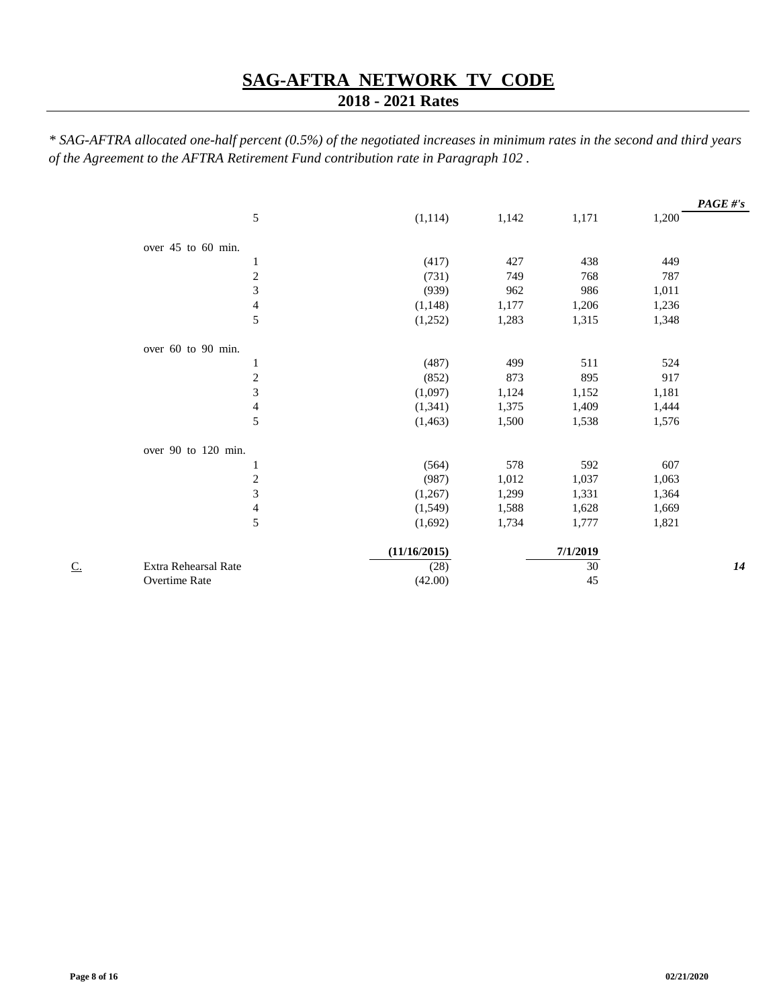## **2018 - 2021 Rates**

|    |                          |              |       |          |       | $PAGE \# 's$ |
|----|--------------------------|--------------|-------|----------|-------|--------------|
|    | 5                        | (1, 114)     | 1,142 | 1,171    | 1,200 |              |
|    | over 45 to 60 min.       |              |       |          |       |              |
|    | 1                        | (417)        | 427   | 438      | 449   |              |
|    | $\sqrt{2}$               | (731)        | 749   | 768      | 787   |              |
|    | $\overline{3}$           | (939)        | 962   | 986      | 1,011 |              |
|    | $\overline{\mathcal{L}}$ | (1, 148)     | 1,177 | 1,206    | 1,236 |              |
|    | 5                        | (1,252)      | 1,283 | 1,315    | 1,348 |              |
|    | over 60 to 90 min.       |              |       |          |       |              |
|    | $\mathbf{1}$             | (487)        | 499   | 511      | 524   |              |
|    | $\boldsymbol{2}$         | (852)        | 873   | 895      | 917   |              |
|    | $\overline{3}$           | (1,097)      | 1,124 | 1,152    | 1,181 |              |
|    | $\overline{\mathcal{A}}$ | (1, 341)     | 1,375 | 1,409    | 1,444 |              |
|    | 5                        | (1, 463)     | 1,500 | 1,538    | 1,576 |              |
|    | over 90 to 120 min.      |              |       |          |       |              |
|    | 1                        | (564)        | 578   | 592      | 607   |              |
|    | $\sqrt{2}$               | (987)        | 1,012 | 1,037    | 1,063 |              |
|    | $\overline{\mathbf{3}}$  | (1,267)      | 1,299 | 1,331    | 1,364 |              |
|    | $\overline{\mathcal{A}}$ | (1,549)      | 1,588 | 1,628    | 1,669 |              |
|    | 5                        | (1,692)      | 1,734 | 1,777    | 1,821 |              |
|    |                          | (11/16/2015) |       | 7/1/2019 |       |              |
| C. | Extra Rehearsal Rate     | (28)         |       | 30       |       | 14           |
|    | Overtime Rate            | (42.00)      |       | 45       |       |              |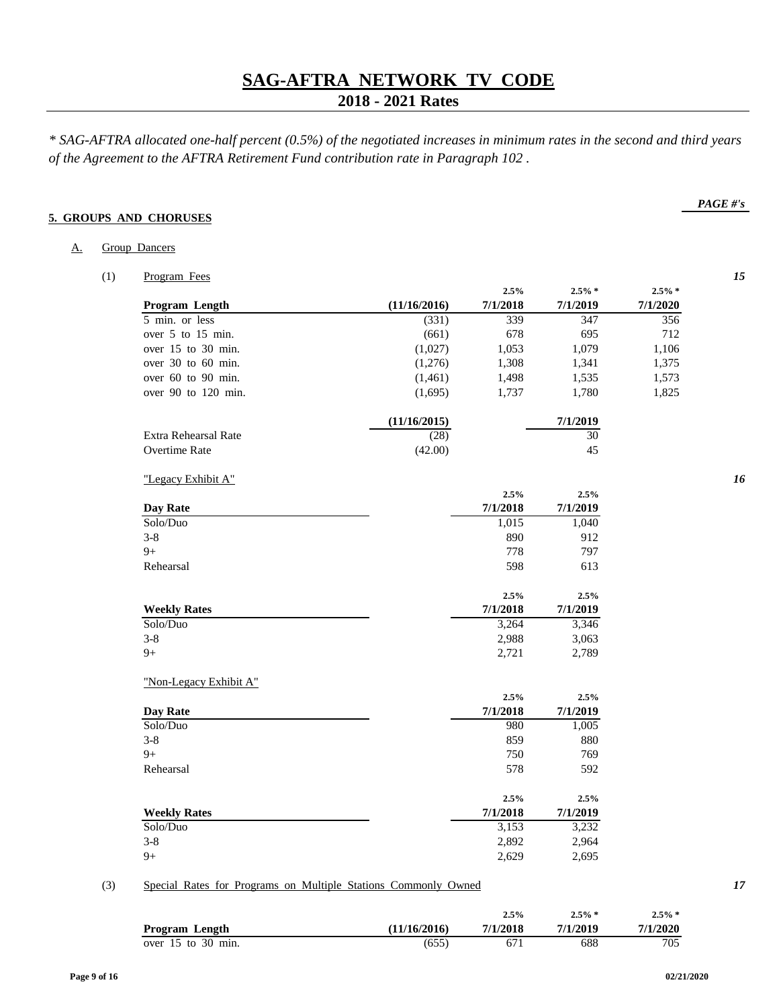## **2018 - 2021 Rates**

*\* SAG-AFTRA allocated one-half percent (0.5%) of the negotiated increases in minimum rates in the second and third years of the Agreement to the AFTRA Retirement Fund contribution rate in Paragraph 102 .*

## **5. GROUPS AND CHORUSES**

| А. | Group Dancers |  |
|----|---------------|--|
|    |               |  |

(1) Program Fees *15*

| Program Length          | (11/16/2016) | 7/1/2018 | 7/1/2019 | 7/1/2020 |
|-------------------------|--------------|----------|----------|----------|
| 5 min. or less          | (331)        | 339      | 347      | 356      |
| over 5 to 15 min.       | (661)        | 678      | 695      | 712      |
| over $15$ to $30$ min.  | (1,027)      | 1,053    | 1,079    | 1,106    |
| over $30$ to $60$ min.  | (1,276)      | 1,308    | 1,341    | 1,375    |
| over $60$ to $90$ min.  | (1,461)      | 1,498    | 1,535    | 1,573    |
| over $90$ to $120$ min. | (1,695)      | 1,737    | 1,780    | 1,825    |
|                         | (11/16/2015) |          | 7/1/2019 |          |
| Extra Rehearsal Rate    | (28)         |          | 30       |          |
| Overtime Rate           | (42.00)      |          | 45       |          |

| "Legacy Exhibit A" |  |
|--------------------|--|
|                    |  |

|                        | 2.5%     | 2.5%     |
|------------------------|----------|----------|
| Day Rate               | 7/1/2018 | 7/1/2019 |
| Solo/Duo               | 1,015    | 1,040    |
| $3 - 8$                | 890      | 912      |
| $9+$                   | 778      | 797      |
| Rehearsal              | 598      | 613      |
|                        | 2.5%     | 2.5%     |
| <b>Weekly Rates</b>    | 7/1/2018 | 7/1/2019 |
| Solo/Duo               | 3,264    | 3,346    |
| $3 - 8$                | 2,988    | 3,063    |
| $9+$                   | 2,721    | 2,789    |
| "Non-Legacy Exhibit A" |          |          |
|                        | 2.5%     | 2.5%     |
| Day Rate               | 7/1/2018 | 7/1/2019 |
| Solo/Duo               | 980      | 1,005    |
| $3 - 8$                | 859      | 880      |
| $9+$                   | 750      | 769      |
| Rehearsal              | 578      | 592      |
|                        | 2.5%     | 2.5%     |
| <b>Weekly Rates</b>    | 7/1/2018 | 7/1/2019 |
| Solo/Duo               | 3,153    | 3,232    |
| $3 - 8$                | 2,892    | 2,964    |
| $9+$                   | 2,629    | 2,695    |
|                        |          |          |

## (3) Special Rates for Programs on Multiple Stations Commonly Owned *17*

|                        |              | 2.5%     | $2.5\% *$ | $2.5\% *$ |
|------------------------|--------------|----------|-----------|-----------|
| Program Length         | (11/16/2016) | 7/1/2018 | 7/1/2019  | 7/1/2020  |
| over $15$ to $30$ min. | (655)        | 67,      | 688       | 705       |

## *PAGE #'s*

**2.5% 2.5% \* 2.5% \***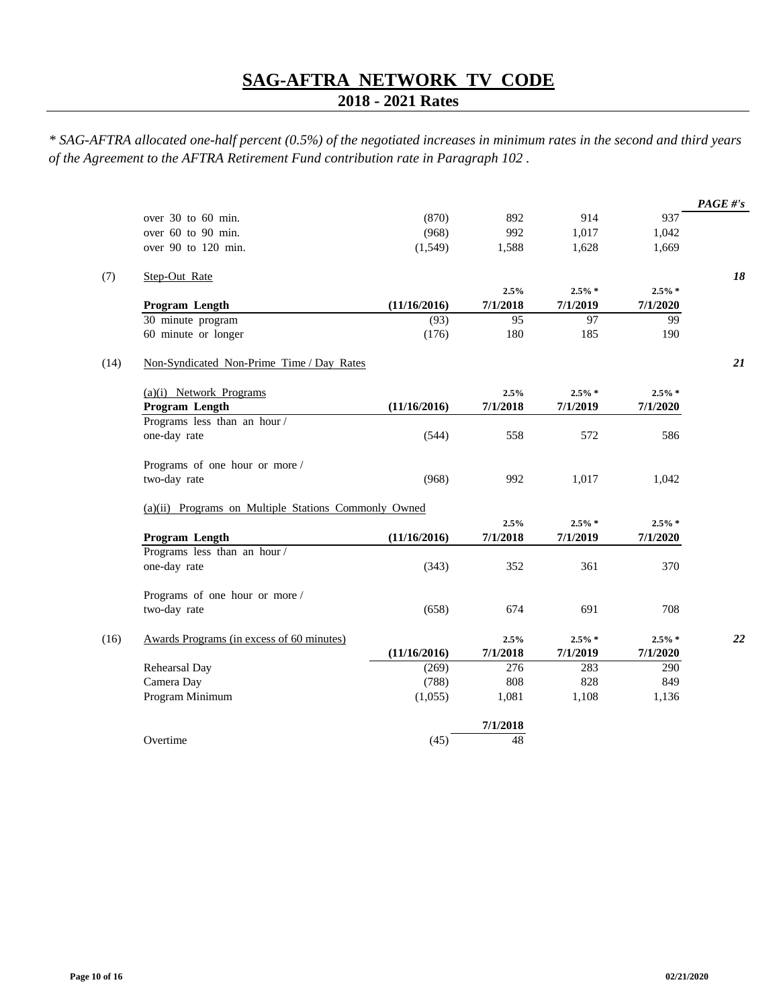## **2018 - 2021 Rates**

|                                                      |              |          |           |           | PAGE #'s |
|------------------------------------------------------|--------------|----------|-----------|-----------|----------|
| over 30 to 60 min.                                   | (870)        | 892      | 914       | 937       |          |
| over 60 to 90 min.                                   | (968)        | 992      | 1,017     | 1,042     |          |
| over 90 to 120 min.                                  | (1,549)      | 1,588    | 1,628     | 1,669     |          |
| Step-Out Rate                                        |              |          |           |           | 18       |
|                                                      |              | 2.5%     | $2.5\% *$ | $2.5\% *$ |          |
| Program Length                                       | (11/16/2016) | 7/1/2018 | 7/1/2019  | 7/1/2020  |          |
| 30 minute program                                    | (93)         | 95       | 97        | 99        |          |
| 60 minute or longer                                  | (176)        | 180      | 185       | 190       |          |
| Non-Syndicated Non-Prime Time / Day Rates            |              |          |           |           | 21       |
| $(a)(i)$ Network Programs                            |              | 2.5%     | $2.5\% *$ | $2.5\% *$ |          |
| Program Length                                       | (11/16/2016) | 7/1/2018 | 7/1/2019  | 7/1/2020  |          |
| Programs less than an hour/                          |              |          |           |           |          |
| one-day rate                                         | (544)        | 558      | 572       | 586       |          |
| Programs of one hour or more /                       |              |          |           |           |          |
| two-day rate                                         | (968)        | 992      | 1,017     | 1,042     |          |
| (a)(ii) Programs on Multiple Stations Commonly Owned |              |          |           |           |          |
|                                                      |              | 2.5%     | $2.5\% *$ | $2.5\% *$ |          |
| Program Length                                       | (11/16/2016) | 7/1/2018 | 7/1/2019  | 7/1/2020  |          |
| Programs less than an hour/                          |              |          |           |           |          |
| one-day rate                                         | (343)        | 352      | 361       | 370       |          |
| Programs of one hour or more /                       |              |          |           |           |          |
| two-day rate                                         | (658)        | 674      | 691       | 708       |          |
| Awards Programs (in excess of 60 minutes)            |              | 2.5%     | $2.5\% *$ | $2.5\% *$ | 22       |
|                                                      | (11/16/2016) | 7/1/2018 | 7/1/2019  | 7/1/2020  |          |
| Rehearsal Day                                        | (269)        | 276      | 283       | 290       |          |
| Camera Day                                           | (788)        | 808      | 828       | 849       |          |
| Program Minimum                                      | (1,055)      | 1,081    | 1,108     | 1,136     |          |
|                                                      |              | 7/1/2018 |           |           |          |
| Overtime                                             | (45)         | 48       |           |           |          |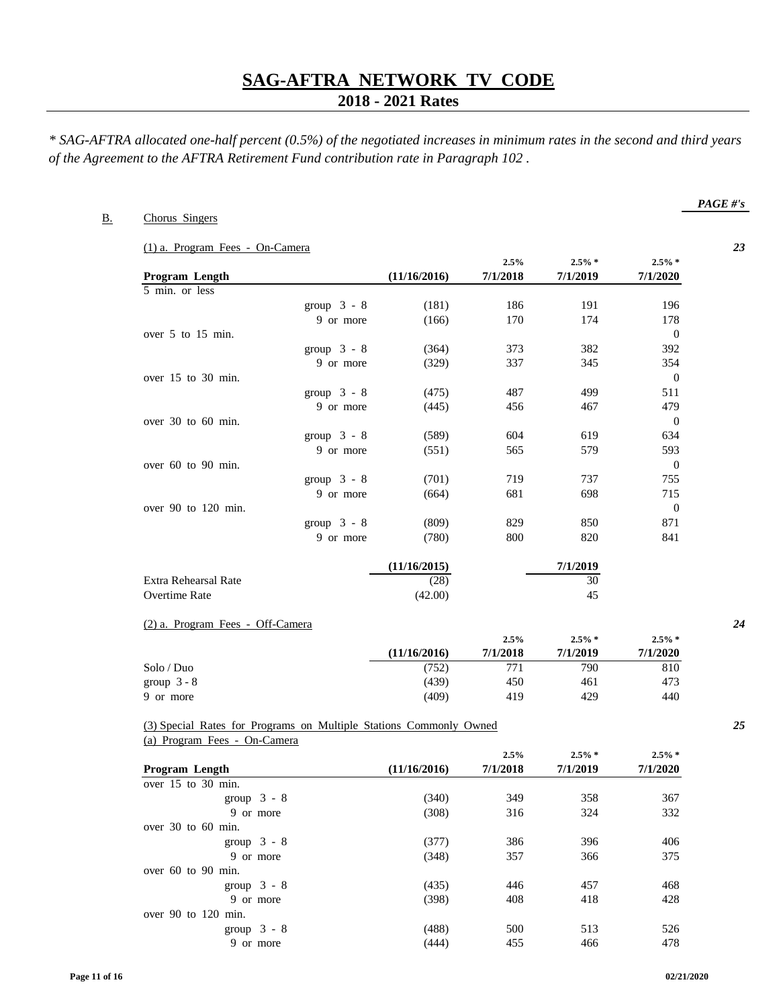## **2018 - 2021 Rates**

*\* SAG-AFTRA allocated one-half percent (0.5%) of the negotiated increases in minimum rates in the second and third years of the Agreement to the AFTRA Retirement Fund contribution rate in Paragraph 102 .*

## B. Chorus Singers

(1) a. Program Fees - On-Camera *23*

|                         |               |              | 2.5%     | $2.5\%$ * | $2.5\% *$      |
|-------------------------|---------------|--------------|----------|-----------|----------------|
| Program Length          |               | (11/16/2016) | 7/1/2018 | 7/1/2019  | 7/1/2020       |
| 5 min. or less          |               |              |          |           |                |
|                         | group $3 - 8$ | (181)        | 186      | 191       | 196            |
|                         | 9 or more     | (166)        | 170      | 174       | 178            |
| over 5 to 15 min.       |               |              |          |           | $\overline{0}$ |
|                         | group $3 - 8$ | (364)        | 373      | 382       | 392            |
|                         | 9 or more     | (329)        | 337      | 345       | 354            |
| over $15$ to $30$ min.  |               |              |          |           | $\overline{0}$ |
|                         | group $3 - 8$ | (475)        | 487      | 499       | 511            |
|                         | 9 or more     | (445)        | 456      | 467       | 479            |
| over $30$ to $60$ min.  |               |              |          |           | $\mathbf{0}$   |
|                         | group $3 - 8$ | (589)        | 604      | 619       | 634            |
|                         | 9 or more     | (551)        | 565      | 579       | 593            |
| over $60$ to $90$ min.  |               |              |          |           | $\mathbf{0}$   |
|                         | group $3 - 8$ | (701)        | 719      | 737       | 755            |
|                         | 9 or more     | (664)        | 681      | 698       | 715            |
| over $90$ to $120$ min. |               |              |          |           | $\overline{0}$ |
|                         | group $3 - 8$ | (809)        | 829      | 850       | 871            |
|                         | 9 or more     | (780)        | 800      | 820       | 841            |
|                         |               | (11/16/2015) |          | 7/1/2019  |                |
| Extra Rehearsal Rate    |               | (28)         |          | 30        |                |

#### (2) a. Program Fees - Off-Camera *24*

|               |              | 2.5%     | $2.5\% *$ | $2.5\%$ * |
|---------------|--------------|----------|-----------|-----------|
|               | (11/16/2016) | 7/1/2018 | 7/1/2019  | 7/1/2020  |
| Solo / Duo    | (752)        | 771      | 790       | 810       |
| group $3 - 8$ | (439)        | 450      | 461       | 473       |
| 9 or more     | (409)        | 419      | 429       | 440       |

Overtime Rate (42.00) 45

#### (3) Special Rates for Programs on Multiple Stations Commonly Owned *25* (a) Program Fees - On-Camera

|                         |              | 2.5%     | $2.5\%$ * | $2.5\% *$ |  |
|-------------------------|--------------|----------|-----------|-----------|--|
| Program Length          | (11/16/2016) | 7/1/2018 | 7/1/2019  | 7/1/2020  |  |
| over 15 to 30 min.      |              |          |           |           |  |
| group $3 - 8$           | (340)        | 349      | 358       | 367       |  |
| 9 or more               | (308)        | 316      | 324       | 332       |  |
| over $30$ to $60$ min.  |              |          |           |           |  |
| group $3 - 8$           | (377)        | 386      | 396       | 406       |  |
| 9 or more               | (348)        | 357      | 366       | 375       |  |
| over $60$ to $90$ min.  |              |          |           |           |  |
| group $3 - 8$           | (435)        | 446      | 457       | 468       |  |
| 9 or more               | (398)        | 408      | 418       | 428       |  |
| over $90$ to $120$ min. |              |          |           |           |  |
| group $3 - 8$           | (488)        | 500      | 513       | 526       |  |
| 9 or more               | (444)        | 455      | 466       | 478       |  |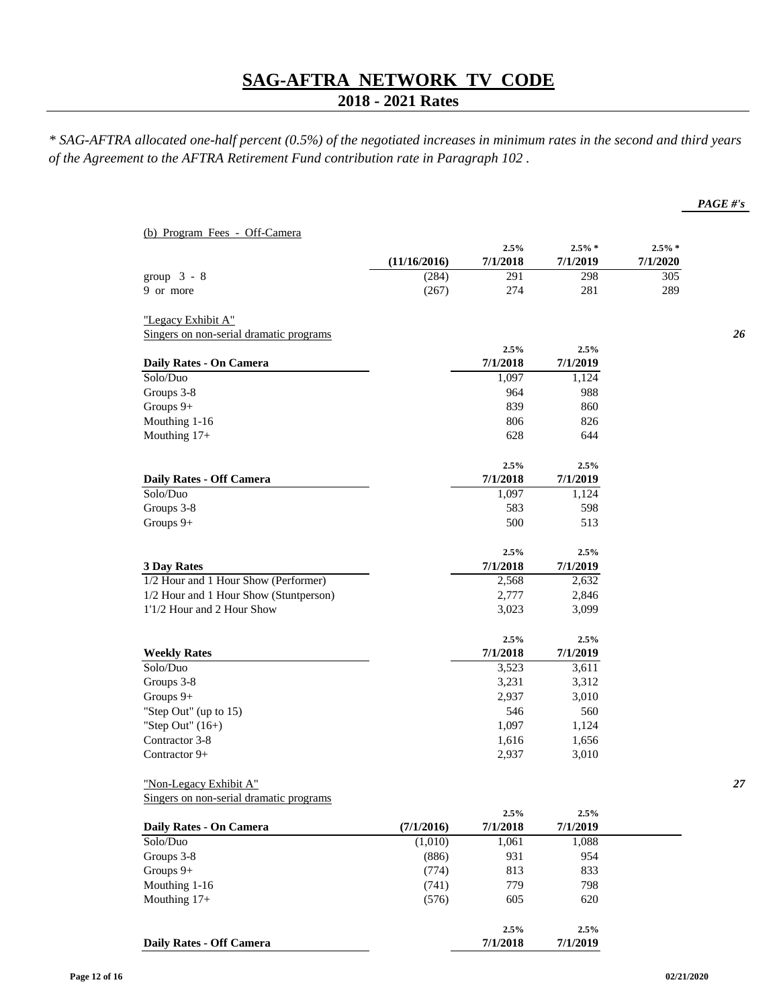## **2018 - 2021 Rates**

*\* SAG-AFTRA allocated one-half percent (0.5%) of the negotiated increases in minimum rates in the second and third years of the Agreement to the AFTRA Retirement Fund contribution rate in Paragraph 102 .*

|                                         |              | 2.5%     | $2.5\% *$ | $2.5\% *$ |
|-----------------------------------------|--------------|----------|-----------|-----------|
|                                         | (11/16/2016) | 7/1/2018 | 7/1/2019  | 7/1/2020  |
| group $3 - 8$                           | (284)        | 291      | 298       | 305       |
| 9 or more                               | (267)        | 274      | 281       | 289       |
| "Legacy Exhibit A"                      |              |          |           |           |
| Singers on non-serial dramatic programs |              |          |           |           |
|                                         |              | 2.5%     | 2.5%      |           |
| Daily Rates - On Camera                 |              | 7/1/2018 | 7/1/2019  |           |
| Solo/Duo                                |              | 1,097    | 1,124     |           |
| Groups 3-8                              |              | 964      | 988       |           |
| Groups 9+                               |              | 839      | 860       |           |
| Mouthing 1-16                           |              | 806      | 826       |           |
| Mouthing 17+                            |              | 628      | 644       |           |
|                                         |              | 2.5%     | 2.5%      |           |
| Daily Rates - Off Camera                |              | 7/1/2018 | 7/1/2019  |           |
| Solo/Duo                                |              | 1,097    | 1,124     |           |
| Groups 3-8                              |              | 583      | 598       |           |
| Groups 9+                               |              | 500      | 513       |           |
|                                         |              | 2.5%     | 2.5%      |           |
| <b>3 Day Rates</b>                      |              | 7/1/2018 | 7/1/2019  |           |
| 1/2 Hour and 1 Hour Show (Performer)    |              | 2,568    | 2,632     |           |
| 1/2 Hour and 1 Hour Show (Stuntperson)  |              | 2,777    | 2,846     |           |
| 1'1/2 Hour and 2 Hour Show              |              | 3,023    | 3,099     |           |
|                                         |              | 2.5%     | 2.5%      |           |
| <b>Weekly Rates</b>                     |              | 7/1/2018 | 7/1/2019  |           |
| Solo/Duo                                |              | 3,523    | 3,611     |           |
| Groups 3-8                              |              | 3,231    | 3,312     |           |
| Groups 9+                               |              | 2,937    | 3,010     |           |
| "Step Out" (up to 15)                   |              | 546      | 560       |           |
| "Step Out" $(16+)$                      |              | 1,097    | 1,124     |           |
| Contractor 3-8                          |              | 1,616    | 1,656     |           |
| Contractor 9+                           |              | 2,937    | 3,010     |           |
| "Non-Legacy Exhibit A"                  |              |          |           |           |
| Singers on non-serial dramatic programs |              |          |           |           |
|                                         |              | 2.5%     | 2.5%      |           |
| Daily Rates - On Camera                 | (7/1/2016)   | 7/1/2018 | 7/1/2019  |           |
| Solo/Duo                                | (1,010)      | 1,061    | 1,088     |           |
| Groups 3-8                              | (886)        | 931      | 954       |           |
| Groups 9+                               | (774)        | 813      | 833       |           |
| Mouthing 1-16                           | (741)        | 779      | 798       |           |
| Mouthing 17+                            | (576)        | 605      | 620       |           |
|                                         |              | 2.5%     | 2.5%      |           |

**Daily Rates - Off Camera 7/1/2018 7/1/2019**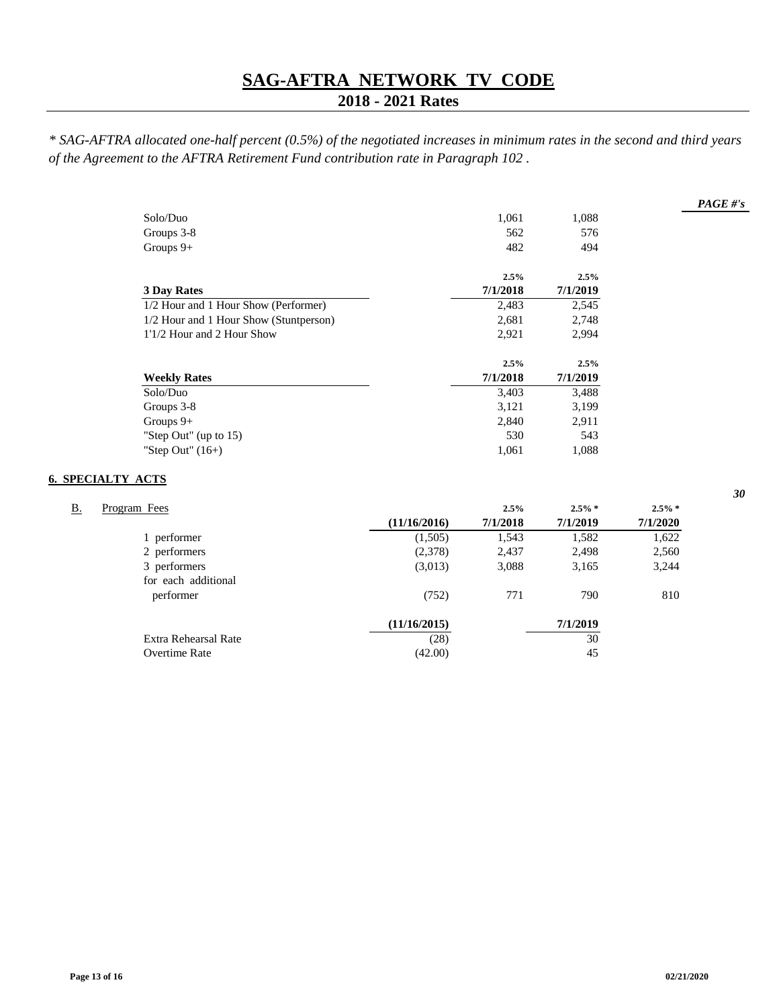## **2018 - 2021 Rates**

*\* SAG-AFTRA allocated one-half percent (0.5%) of the negotiated increases in minimum rates in the second and third years of the Agreement to the AFTRA Retirement Fund contribution rate in Paragraph 102 .*

| Solo/Duo                               | 1,061    | 1,088    |
|----------------------------------------|----------|----------|
| Groups 3-8                             | 562      | 576      |
| Groups $9+$                            | 482      | 494      |
|                                        | 2.5%     | 2.5%     |
| <b>3 Day Rates</b>                     | 7/1/2018 | 7/1/2019 |
| 1/2 Hour and 1 Hour Show (Performer)   | 2,483    | 2,545    |
| 1/2 Hour and 1 Hour Show (Stuntperson) | 2,681    | 2,748    |
| 1'1/2 Hour and 2 Hour Show             | 2,921    | 2,994    |
|                                        | 2.5%     | 2.5%     |
| <b>Weekly Rates</b>                    | 7/1/2018 | 7/1/2019 |
| Solo/Duo                               | 3,403    | 3,488    |
| Groups 3-8                             | 3,121    | 3,199    |
| Groups $9+$                            | 2,840    | 2,911    |
| "Step Out" (up to 15)                  | 530      | 543      |
| "Step Out" $(16+)$                     | 1,061    | 1,088    |

#### **6. SPECIALTY ACTS**

| В. | Program Fees         |              | 2.5%     | $2.5\% *$ | $2.5\% *$ |
|----|----------------------|--------------|----------|-----------|-----------|
|    |                      | (11/16/2016) | 7/1/2018 | 7/1/2019  | 7/1/2020  |
|    | 1 performer          | (1,505)      | 1,543    | 1,582     | 1,622     |
|    | 2 performers         | (2,378)      | 2,437    | 2,498     | 2,560     |
|    | 3 performers         | (3,013)      | 3,088    | 3,165     | 3,244     |
|    | for each additional  |              |          |           |           |
|    | performer            | (752)        | 771      | 790       | 810       |
|    |                      | (11/16/2015) |          | 7/1/2019  |           |
|    | Extra Rehearsal Rate | (28)         |          | 30        |           |
|    | Overtime Rate        | (42.00)      |          | 45        |           |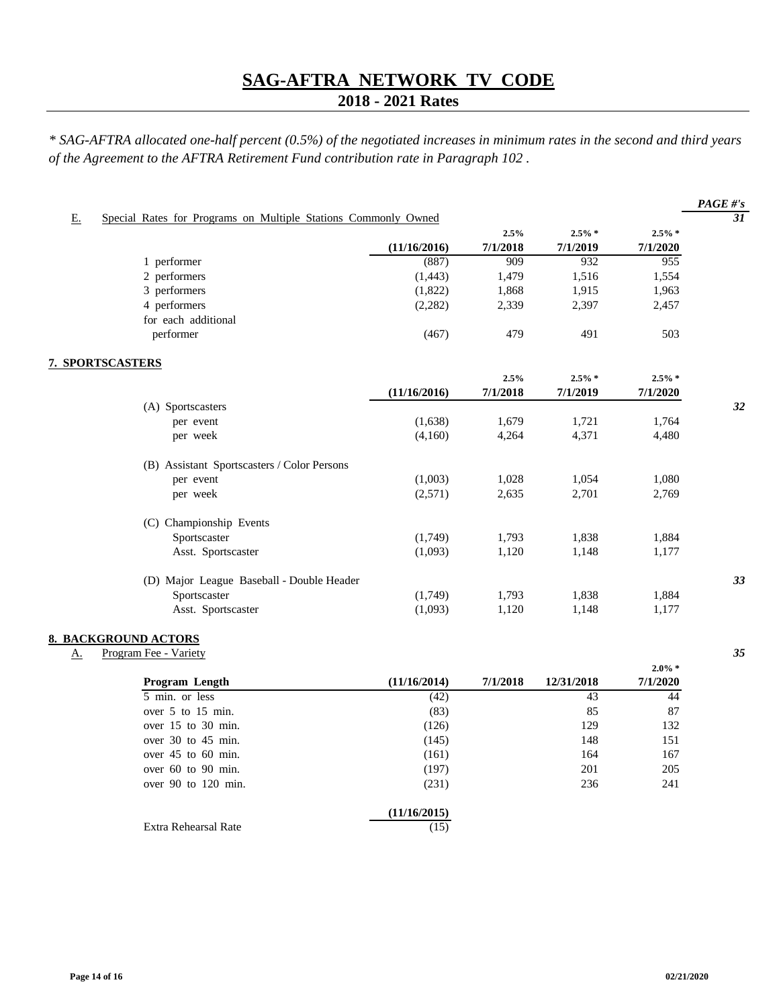## **2018 - 2021 Rates**

|                  |                                                                |              |          |            |                       | $PAGE\#s$       |
|------------------|----------------------------------------------------------------|--------------|----------|------------|-----------------------|-----------------|
| E.               | Special Rates for Programs on Multiple Stations Commonly Owned |              |          |            |                       | $\overline{31}$ |
|                  |                                                                |              | 2.5%     | $2.5\% *$  | $2.5\% *$             |                 |
|                  |                                                                | (11/16/2016) | 7/1/2018 | 7/1/2019   | 7/1/2020              |                 |
|                  | 1 performer                                                    | (887)        | 909      | 932        | 955                   |                 |
|                  | 2 performers                                                   | (1, 443)     | 1,479    | 1,516      | 1,554                 |                 |
|                  | 3 performers                                                   | (1,822)      | 1,868    | 1,915      | 1,963                 |                 |
|                  | 4 performers                                                   | (2, 282)     | 2,339    | 2,397      | 2,457                 |                 |
|                  | for each additional                                            |              |          |            |                       |                 |
|                  | performer                                                      | (467)        | 479      | 491        | 503                   |                 |
| 7. SPORTSCASTERS |                                                                |              |          |            |                       |                 |
|                  |                                                                |              | 2.5%     | $2.5\% *$  | $2.5\% *$             |                 |
|                  |                                                                | (11/16/2016) | 7/1/2018 | 7/1/2019   | 7/1/2020              |                 |
|                  | (A) Sportscasters                                              |              |          |            |                       | 32              |
|                  | per event                                                      | (1,638)      | 1,679    | 1,721      | 1,764                 |                 |
|                  | per week                                                       | (4,160)      | 4,264    | 4,371      | 4,480                 |                 |
|                  | (B) Assistant Sportscasters / Color Persons                    |              |          |            |                       |                 |
|                  | per event                                                      | (1,003)      | 1,028    | 1,054      | 1,080                 |                 |
|                  | per week                                                       | (2,571)      | 2,635    | 2,701      | 2,769                 |                 |
|                  | (C) Championship Events                                        |              |          |            |                       |                 |
|                  | Sportscaster                                                   | (1,749)      | 1,793    | 1,838      | 1,884                 |                 |
|                  | Asst. Sportscaster                                             | (1,093)      | 1,120    | 1,148      | 1,177                 |                 |
|                  | (D) Major League Baseball - Double Header                      |              |          |            |                       | 33              |
|                  | Sportscaster                                                   | (1,749)      | 1,793    | 1,838      | 1,884                 |                 |
|                  | Asst. Sportscaster                                             | (1,093)      | 1,120    | 1,148      | 1,177                 |                 |
|                  | <b>8. BACKGROUND ACTORS</b>                                    |              |          |            |                       |                 |
| <u>A.</u>        | Program Fee - Variety                                          |              |          |            |                       | 35              |
|                  | Program Length                                                 | (11/16/2014) | 7/1/2018 | 12/31/2018 | $2.0\% *$<br>7/1/2020 |                 |
|                  | 5 min. or less                                                 | (42)         |          | 43         | 44                    |                 |
|                  | over 5 to 15 min.                                              | (83)         |          | 85         | 87                    |                 |
|                  | over 15 to 30 min.                                             | (126)        |          | 129        | 132                   |                 |
|                  | over 30 to 45 min.                                             | (145)        |          | 148        | 151                   |                 |
|                  | over $45$ to $60$ min.                                         | (161)        |          | 164        | 167                   |                 |
|                  | over 60 to 90 min.                                             | (197)        |          | 201        | 205                   |                 |
|                  | over 90 to 120 min.                                            | (231)        |          | 236        | 241                   |                 |
|                  |                                                                | (11/16/2015) |          |            |                       |                 |
|                  | Extra Rehearsal Rate                                           | (15)         |          |            |                       |                 |
|                  |                                                                |              |          |            |                       |                 |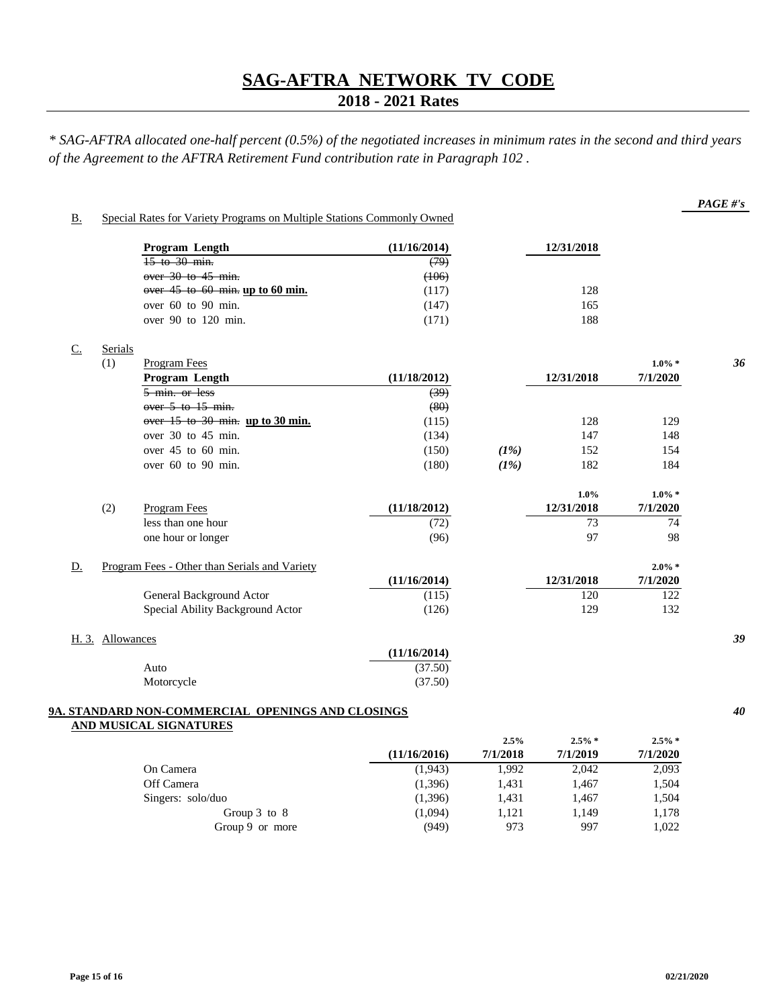## **2018 - 2021 Rates**

|       |                  | Program Length                                                                     | (11/16/2014) |      | 12/31/2018 |           |    |
|-------|------------------|------------------------------------------------------------------------------------|--------------|------|------------|-----------|----|
|       |                  | $15$ to $30$ min.                                                                  | (79)         |      |            |           |    |
|       |                  | over $30$ to $45$ min.                                                             | (106)        |      |            |           |    |
|       |                  | over $45$ to $60$ min. up to $60$ min.                                             | (117)        |      | 128        |           |    |
|       |                  | over 60 to 90 min.                                                                 | (147)        |      | 165        |           |    |
|       |                  | over 90 to 120 min.                                                                | (171)        |      | 188        |           |    |
| $C$ . | Serials          |                                                                                    |              |      |            |           |    |
|       | (1)              | <b>Program Fees</b>                                                                |              |      |            | $1.0\% *$ | 36 |
|       |                  | Program Length                                                                     | (11/18/2012) |      | 12/31/2018 | 7/1/2020  |    |
|       |                  | 5 min. or less                                                                     | (39)         |      |            |           |    |
|       |                  | over 5 to 15 min.                                                                  | (80)         |      |            |           |    |
|       |                  | over 15 to 30 min. up to 30 min.                                                   | (115)        |      | 128        | 129       |    |
|       |                  | over 30 to 45 min.                                                                 | (134)        |      | 147        | 148       |    |
|       |                  | over 45 to 60 min.                                                                 | (150)        | (1%) | 152        | 154       |    |
|       |                  | over 60 to 90 min.                                                                 | (180)        | (1%) | 182        | 184       |    |
|       |                  |                                                                                    |              |      | 1.0%       | $1.0\% *$ |    |
|       | (2)              | Program Fees                                                                       | (11/18/2012) |      | 12/31/2018 | 7/1/2020  |    |
|       |                  | less than one hour                                                                 | (72)         |      | 73         | 74        |    |
|       |                  | one hour or longer                                                                 | (96)         |      | 97         | 98        |    |
| D.    |                  | Program Fees - Other than Serials and Variety                                      |              |      |            | $2.0\% *$ |    |
|       |                  |                                                                                    | (11/16/2014) |      | 12/31/2018 | 7/1/2020  |    |
|       |                  | General Background Actor                                                           | (115)        |      | 120        | 122       |    |
|       |                  | Special Ability Background Actor                                                   | (126)        |      | 129        | 132       |    |
|       | H. 3. Allowances |                                                                                    |              |      |            |           | 39 |
|       |                  |                                                                                    | (11/16/2014) |      |            |           |    |
|       |                  | Auto                                                                               | (37.50)      |      |            |           |    |
|       |                  | Motorcycle                                                                         | (37.50)      |      |            |           |    |
|       |                  | 9A. STANDARD NON-COMMERCIAL OPENINGS AND CLOSINGS<br><b>AND MUSICAL SIGNATURES</b> |              |      |            |           | 40 |
|       |                  |                                                                                    |              | 2.5% | $2.5\% *$  | $2.5\%$ * |    |

|                   |              | $2.5\%$  | $2.5\%$  | $2.5\%$  |
|-------------------|--------------|----------|----------|----------|
|                   | (11/16/2016) | 7/1/2018 | 7/1/2019 | 7/1/2020 |
| On Camera         | (1,943)      | 1.992    | 2.042    | 2,093    |
| Off Camera        | (1,396)      | 1.431    | 1,467    | 1,504    |
| Singers: solo/duo | (1,396)      | 1.431    | 1,467    | 1,504    |
| Group $3$ to $8$  | (1,094)      | 1.121    | 1.149    | 1,178    |
| Group 9 or more   | (949)        | 973      | 997      | 1,022    |